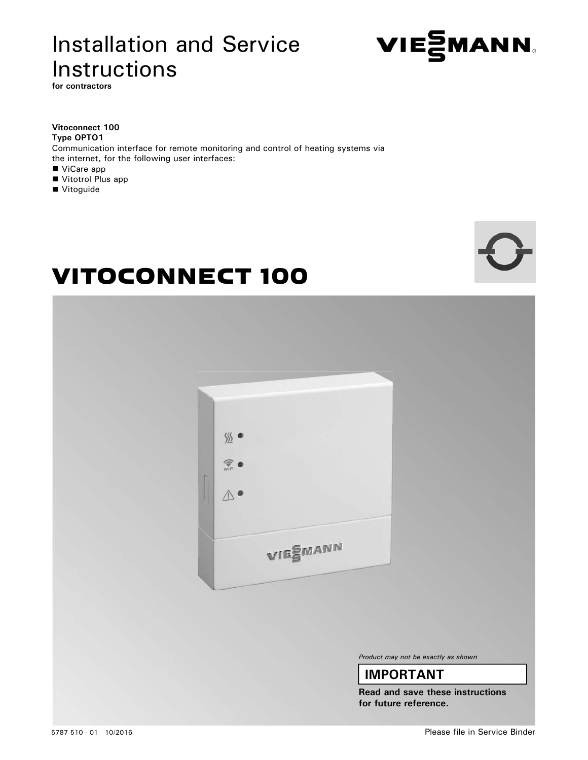# Installation and Service Instructions



**for contractors**

## **Vitoconnect 100 Type OPTO1** Communication interface for remote monitoring and control of heating systems via the internet, for the following user interfaces: ■ ViCare app

- Vitotrol Plus app
- Vitoguide



# VITOCONNECT 100



*Product may not be exactly as shown*

# **IMPORTANT**

**Read and save these instructions for future reference.**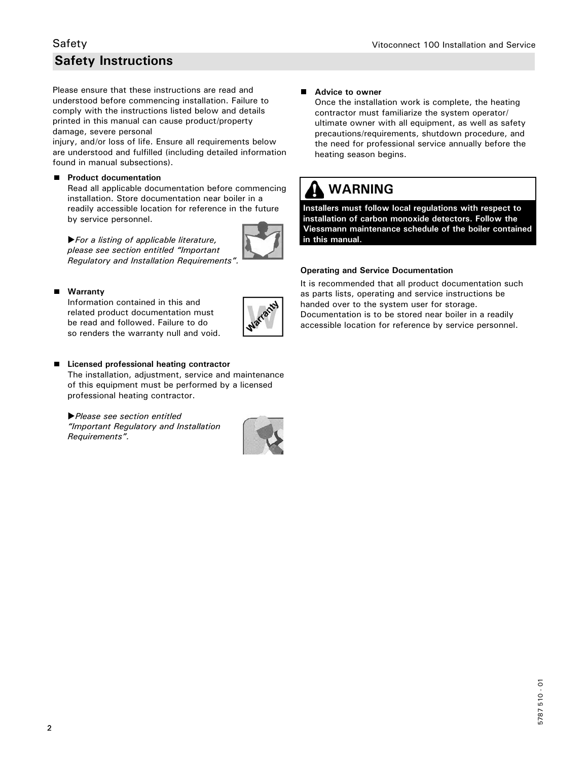# **Safety Instructions**

Please ensure that these instructions are read and understood before commencing installation. Failure to comply with the instructions listed below and details printed in this manual can cause product/property damage, severe personal

injury, and/or loss of life. Ensure all requirements below are understood and fulfilled (including detailed information found in manual subsections).

## **Product documentation**

 Read all applicable documentation before commencing installation. Store documentation near boiler in a readily accessible location for reference in the future by service personnel.



## **Warranty**

 Information contained in this and related product documentation must be read and followed. Failure to do so renders the warranty null and void.

*For a listing of applicable literature, please see section entitled "Important Regulatory and Installation Requirements".*



#### **Licensed professional heating contractor**

 The installation, adjustment, service and maintenance of this equipment must be performed by a licensed professional heating contractor.

*Please see section entitled "Important Regulatory and Installation Requirements".*



#### ■ Advice to owner

 Once the installation work is complete, the heating contractor must familiarize the system operator/ ultimate owner with all equipment, as well as safety precautions/requirements, shutdown procedure, and the need for professional service annually before the heating season begins.

# **WARNING**

**Installers must follow local regulations with respect to installation of carbon monoxide detectors. Follow the Viessmann maintenance schedule of the boiler contained in this manual.**

#### **Operating and Service Documentation**

It is recommended that all product documentation such as parts lists, operating and service instructions be handed over to the system user for storage. Documentation is to be stored near boiler in a readily accessible location for reference by service personnel.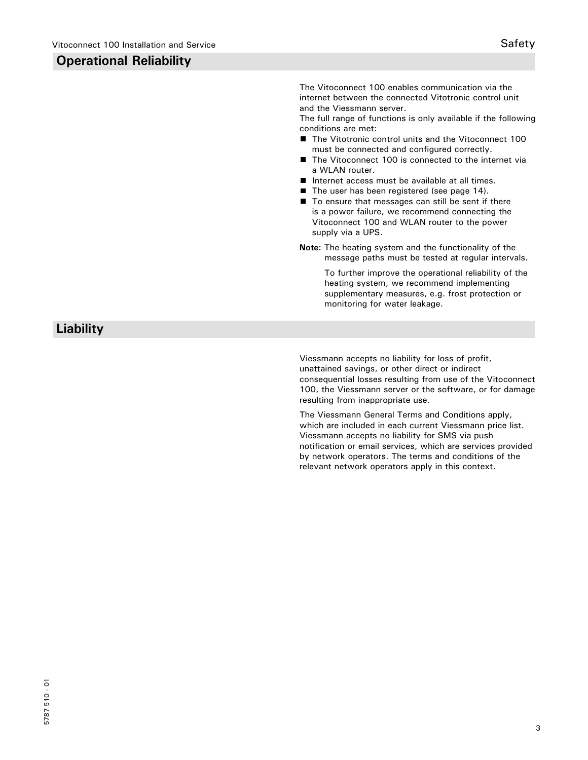# **Operational Reliability**

The Vitoconnect 100 enables communication via the internet between the connected Vitotronic control unit and the Viessmann server.

The full range of functions is only available if the following conditions are met:

- The Vitotronic control units and the Vitoconnect 100 must be connected and configured correctly.
- The Vitoconnect 100 is connected to the internet via a WLAN router.
- Internet access must be available at all times.
- The user has been registered (see page 14).
- To ensure that messages can still be sent if there is a power failure, we recommend connecting the Vitoconnect 100 and WLAN router to the power supply via a UPS.
- **Note:** The heating system and the functionality of the message paths must be tested at regular intervals.

 To further improve the operational reliability of the heating system, we recommend implementing supplementary measures, e.g. frost protection or monitoring for water leakage.

 **Liability**

Viessmann accepts no liability for loss of profit, unattained savings, or other direct or indirect consequential losses resulting from use of the Vitoconnect 100, the Viessmann server or the software, or for damage resulting from inappropriate use.

The Viessmann General Terms and Conditions apply, which are included in each current Viessmann price list. Viessmann accepts no liability for SMS via push notification or email services, which are services provided by network operators. The terms and conditions of the relevant network operators apply in this context.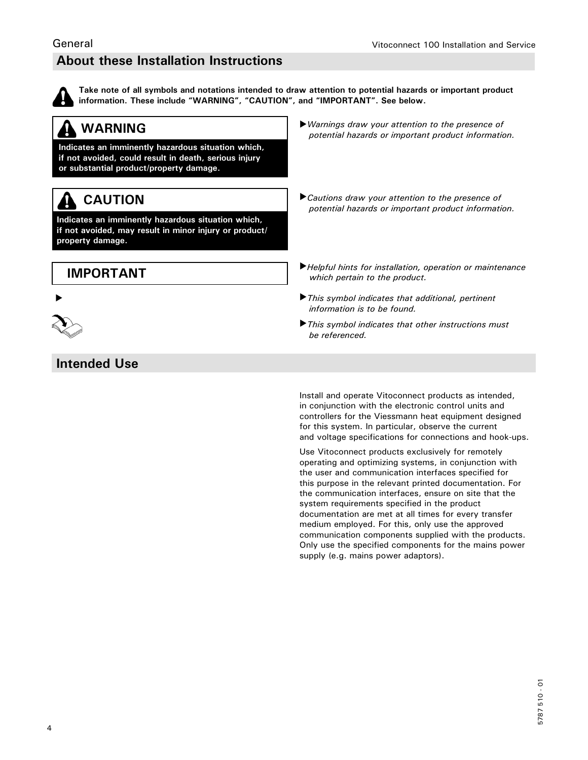# **About these Installation Instructions**



General

**Take note of all symbols and notations intended to draw attention to potential hazards or important product information. These include "WARNING", "CAUTION", and "IMPORTANT". See below.**

#### **WARNING** A

**Indicates an imminently hazardous situation which, if not avoided, could result in death, serious injury or substantial product/property damage.**

# **CAUTION**

**Indicates an imminently hazardous situation which, if not avoided, may result in minor injury or product/ property damage.**

# **IMPORTANT**





# **Intended Use**

- *Warnings draw your attention to the presence of potential hazards or important product information.*
- *Cautions draw your attention to the presence of potential hazards or important product information.*
- *Helpful hints for installation, operation or maintenance which pertain to the product.*
- *This symbol indicates that additional, pertinent information is to be found.*
- *This symbol indicates that other instructions must be referenced.*

Install and operate Vitoconnect products as intended, in conjunction with the electronic control units and controllers for the Viessmann heat equipment designed for this system. In particular, observe the current and voltage specifications for connections and hook-ups.

Use Vitoconnect products exclusively for remotely operating and optimizing systems, in conjunction with the user and communication interfaces specified for this purpose in the relevant printed documentation. For the communication interfaces, ensure on site that the system requirements specified in the product documentation are met at all times for every transfer medium employed. For this, only use the approved communication components supplied with the products. Only use the specified components for the mains power supply (e.g. mains power adaptors).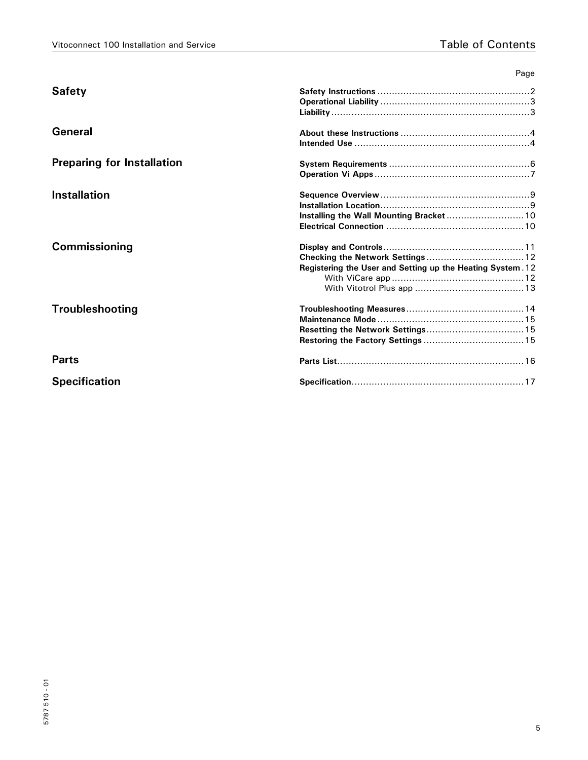|                                   | Page                                                       |
|-----------------------------------|------------------------------------------------------------|
| <b>Safety</b>                     |                                                            |
|                                   |                                                            |
|                                   |                                                            |
| General                           |                                                            |
|                                   |                                                            |
| <b>Preparing for Installation</b> |                                                            |
|                                   |                                                            |
| <b>Installation</b>               |                                                            |
|                                   |                                                            |
|                                   | Installing the Wall Mounting Bracket 10                    |
|                                   |                                                            |
| Commissioning                     |                                                            |
|                                   |                                                            |
|                                   | Registering the User and Setting up the Heating System. 12 |
|                                   |                                                            |
|                                   |                                                            |
| <b>Troubleshooting</b>            |                                                            |
|                                   |                                                            |
|                                   |                                                            |
|                                   |                                                            |
| <b>Parts</b>                      |                                                            |
| <b>Specification</b>              |                                                            |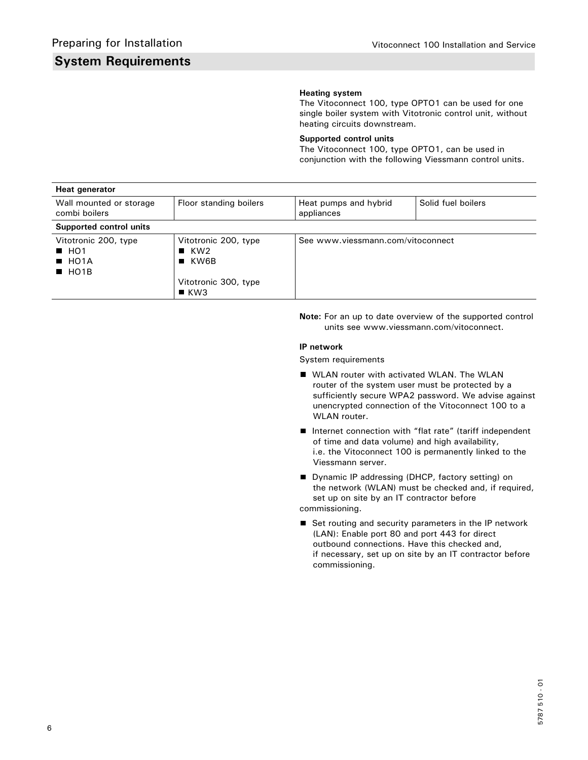# **System Requirements**

## **Heating system**

The Vitoconnect 100, type OPTO1 can be used for one single boiler system with Vitotronic control unit, without heating circuits downstream.

## **Supported control units**

The Vitoconnect 100, type OPTO1, can be used in conjunction with the following Viessmann control units.

| Heat generator                                                         |                                                                                                                 |                                     |                    |
|------------------------------------------------------------------------|-----------------------------------------------------------------------------------------------------------------|-------------------------------------|--------------------|
| Wall mounted or storage<br>combi boilers                               | Floor standing boilers                                                                                          | Heat pumps and hybrid<br>appliances | Solid fuel boilers |
| Supported control units                                                |                                                                                                                 |                                     |                    |
| Vitotronic 200, type<br>H <sub>01</sub><br>HOMA<br>$\blacksquare$ HO1B | Vitotronic 200, type<br>$\blacksquare$ KW2<br>$\blacksquare$ KW6B<br>Vitotronic 300, type<br>$\blacksquare$ KW3 | See www.viessmann.com/vitoconnect   |                    |

**Note:** For an up to date overview of the supported control units see www.viessmann.com/vitoconnect.

#### **IP network**

System requirements

- **WEAN router with activated WLAN. The WLAN**  router of the system user must be protected by a sufficiently secure WPA2 password. We advise against unencrypted connection of the Vitoconnect 100 to a WLAN router.
- Internet connection with "flat rate" (tariff independent of time and data volume) and high availability, i.e. the Vitoconnect 100 is permanently linked to the Viessmann server.
- Dynamic IP addressing (DHCP, factory setting) on the network (WLAN) must be checked and, if required, set up on site by an IT contractor before commissioning.
- Set routing and security parameters in the IP network (LAN): Enable port 80 and port 443 for direct outbound connections. Have this checked and, if necessary, set up on site by an IT contractor before commissioning.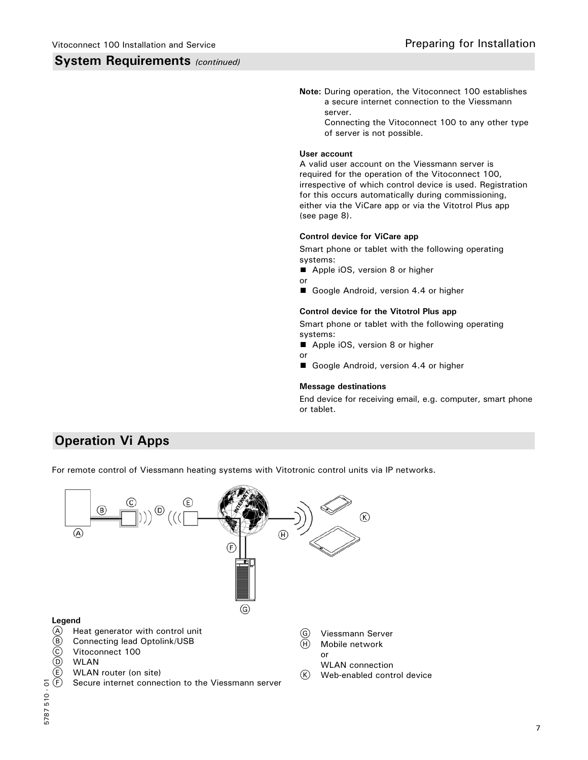## **System Requirements** *(continued)*

- **Note:** During operation, the Vitoconnect 100 establishes a secure internet connection to the Viessmann server.
	- Connecting the Vitoconnect 100 to any other type of server is not possible.

#### **User account**

A valid user account on the Viessmann server is required for the operation of the Vitoconnect 100, irrespective of which control device is used. Registration for this occurs automatically during commissioning, either via the ViCare app or via the Vitotrol Plus app (see page 8).

## **Control device for ViCare app**

Smart phone or tablet with the following operating systems:

- Apple iOS, version 8 or higher
- or
- Google Android, version 4.4 or higher

### **Control device for the Vitotrol Plus app**

Smart phone or tablet with the following operating systems:

- Apple iOS, version 8 or higher
- or
- Google Android, version 4.4 or higher

#### **Message destinations**

End device for receiving email, e.g. computer, smart phone or tablet.

# **Operation Vi Apps**

For remote control of Viessmann heating systems with Vitotronic control units via IP networks.

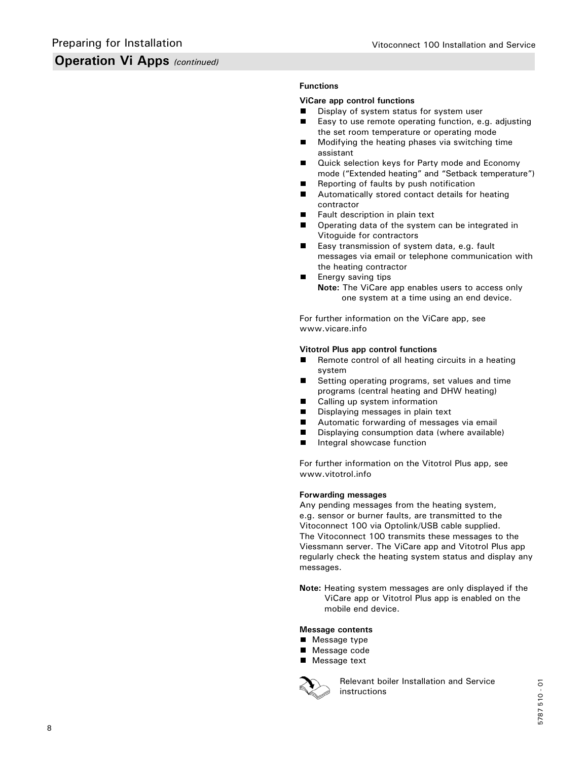# **Operation Vi Apps** *(continued)*

## **Functions**

### **ViCare app control functions**

- Display of system status for system user
- Easy to use remote operating function, e.g. adjusting the set room temperature or operating mode
- **Modifying the heating phases via switching time** assistant
- **Quick selection keys for Party mode and Economy** mode ("Extended heating" and "Setback temperature")
- Reporting of faults by push notification
- **Automatically stored contact details for heating** contractor
- **Fault description in plain text**
- **Dearman** Operating data of the system can be integrated in Vitoguide for contractors
- Easy transmission of system data, e.g. fault messages via email or telephone communication with the heating contractor
- **Energy saving tips** 
	- **Note:** The ViCare app enables users to access only one system at a time using an end device.

For further information on the ViCare app, see www.vicare.info

#### **Vitotrol Plus app control functions**

- Remote control of all heating circuits in a heating system
- Setting operating programs, set values and time programs (central heating and DHW heating)
- Calling up system information
- Displaying messages in plain text
- Automatic forwarding of messages via email
- Displaying consumption data (where available)
- **Integral showcase function**

For further information on the Vitotrol Plus app, see www.vitotrol.info

#### **Forwarding messages**

Any pending messages from the heating system, e.g. sensor or burner faults, are transmitted to the Vitoconnect 100 via Optolink/USB cable supplied. The Vitoconnect 100 transmits these messages to the Viessmann server. The ViCare app and Vitotrol Plus app regularly check the heating system status and display any messages.

**Note:** Heating system messages are only displayed if the ViCare app or Vitotrol Plus app is enabled on the mobile end device.

#### **Message contents**

- Message type
- Message code
- Message text



 Relevant boiler Installation and Service instructions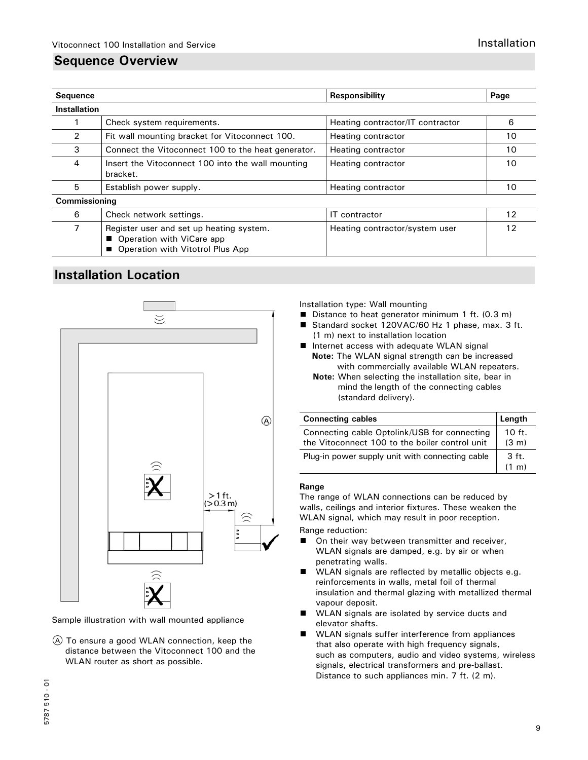# **Sequence Overview**

| <b>Sequence</b>     |                                                                                                           | <b>Responsibility</b>            | Page |
|---------------------|-----------------------------------------------------------------------------------------------------------|----------------------------------|------|
| <b>Installation</b> |                                                                                                           |                                  |      |
|                     | Check system requirements.                                                                                | Heating contractor/IT contractor | 6    |
| 2                   | Fit wall mounting bracket for Vitoconnect 100.                                                            | Heating contractor               | 10   |
| 3                   | Connect the Vitoconnect 100 to the heat generator.                                                        | Heating contractor               | 10   |
| 4                   | Insert the Vitoconnect 100 into the wall mounting<br>bracket.                                             | Heating contractor               | 10   |
| 5                   | Establish power supply.                                                                                   | Heating contractor               | 10   |
| Commissioning       |                                                                                                           |                                  |      |
| 6                   | Check network settings.                                                                                   | IT contractor                    | 12   |
|                     | Register user and set up heating system.<br>Operation with ViCare app<br>Operation with Vitotrol Plus App | Heating contractor/system user   | 12   |

# **Installation Location**



Sample illustration with wall mounted appliance

A To ensure a good WLAN connection, keep the distance between the Vitoconnect 100 and the WLAN router as short as possible.

Installation type: Wall mounting

- Distance to heat generator minimum 1 ft. (0.3 m)
- Standard socket 120VAC/60 Hz 1 phase, max. 3 ft. (1 m) next to installation location
- Internet access with adequate WLAN signal  **Note:** The WLAN signal strength can be increased with commercially available WLAN repeaters.
	- **Note:** When selecting the installation site, bear in mind the length of the connecting cables (standard delivery).

| <b>Connecting cables</b>                                                                       | Length                      |
|------------------------------------------------------------------------------------------------|-----------------------------|
| Connecting cable Optolink/USB for connecting<br>the Vitoconnect 100 to the boiler control unit | $10$ ft.<br>$(3 \text{ m})$ |
| Plug-in power supply unit with connecting cable                                                | 3 ft.<br>(1 m)              |

#### **Range**

The range of WLAN connections can be reduced by walls, ceilings and interior fixtures. These weaken the WLAN signal, which may result in poor reception.

Range reduction:

- On their way between transmitter and receiver, WLAN signals are damped, e.g. by air or when penetrating walls.
- WLAN signals are reflected by metallic objects e.g. reinforcements in walls, metal foil of thermal insulation and thermal glazing with metallized thermal vapour deposit.
- WLAN signals are isolated by service ducts and elevator shafts.
- WLAN signals suffer interference from appliances  $\blacksquare$  that also operate with high frequency signals, such as computers, audio and video systems, wireless signals, electrical transformers and pre-ballast. Distance to such appliances min. 7 ft. (2 m).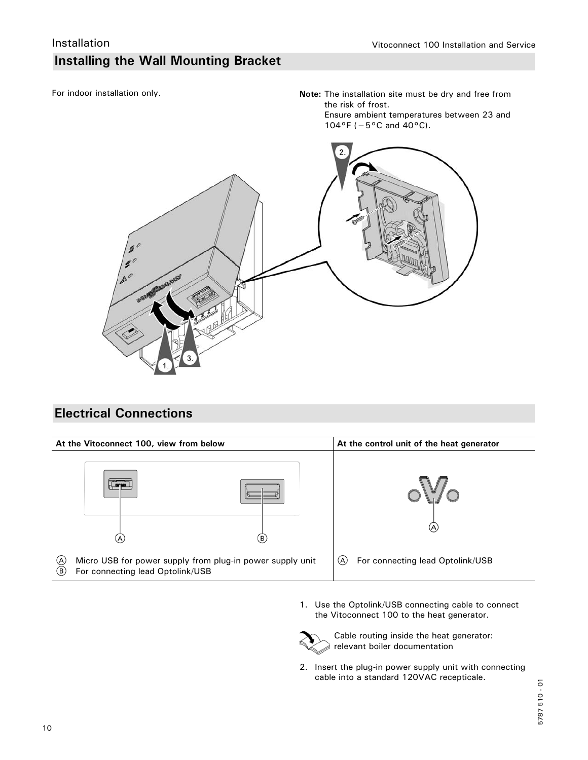# **Installing the Wall Mounting Bracket**

For indoor installation only.

**Note:** The installation site must be dry and free from the risk of frost. Ensure ambient temperatures between 23 and 104°F (−5°C and 40°C).



# **Electrical Connections**



1. Use the Optolink/USB connecting cable to connect the Vitoconnect 100 to the heat generator.



 Cable routing inside the heat generator: relevant boiler documentation

2. Insert the plug-in power supply unit with connecting cable into a standard 120VAC recepticale.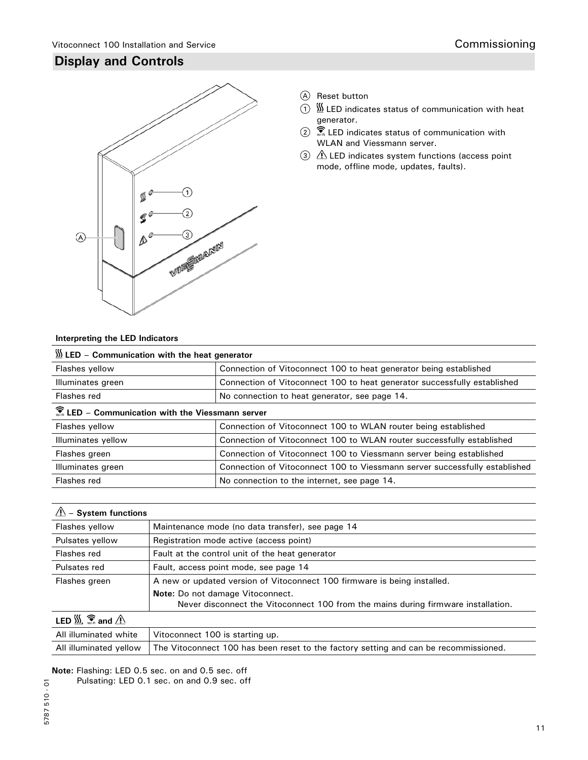# **Display and Controls**



- A Reset button
- $\overline{1}$   $\overline{2}$  LED indicates status of communication with heat generator.
- **2**  $\overline{\mathbb{R}}$  LED indicates status of communication with WLAN and Viessmann server.
- 3  $\triangle$  LED indicates system functions (access point mode, offline mode, updates, faults).

# **Interpreting the LED Indicators**

| $\frac{W}{2}$ LED - Communication with the heat generator            |                                                                            |  |
|----------------------------------------------------------------------|----------------------------------------------------------------------------|--|
| Flashes yellow                                                       | Connection of Vitoconnect 100 to heat generator being established          |  |
| Illuminates green                                                    | Connection of Vitoconnect 100 to heat generator successfully established   |  |
| Flashes red                                                          | No connection to heat generator, see page 14.                              |  |
| $\widehat{\mathbb{F}}$ LED - Communication with the Viessmann server |                                                                            |  |
| Flashes yellow                                                       | Connection of Vitoconnect 100 to WLAN router being established             |  |
| Illuminates yellow                                                   | Connection of Vitoconnect 100 to WLAN router successfully established      |  |
| Flashes green                                                        | Connection of Vitoconnect 100 to Viessmann server being established        |  |
| Illuminates green                                                    | Connection of Vitoconnect 100 to Viessmann server successfully established |  |
| Flashes red                                                          | No connection to the internet, see page 14.                                |  |
|                                                                      |                                                                            |  |

| $\hat{\mathbb{A}}$ – System functions                       |                                                                                   |
|-------------------------------------------------------------|-----------------------------------------------------------------------------------|
| Flashes yellow                                              | Maintenance mode (no data transfer), see page 14                                  |
| Pulsates yellow                                             | Registration mode active (access point)                                           |
| Flashes red                                                 | Fault at the control unit of the heat generator                                   |
| Pulsates red                                                | Fault, access point mode, see page 14                                             |
| Flashes green                                               | A new or updated version of Vitoconnect 100 firmware is being installed.          |
|                                                             | Note: Do not damage Vitoconnect.                                                  |
|                                                             | Never disconnect the Vitoconnect 100 from the mains during firmware installation. |
| LED $\frac{W}{M}$ , $\widehat{\mathcal{F}}$ and $\triangle$ |                                                                                   |
| All illuminated white                                       | Vitoconnect 100 is starting up.                                                   |

All illuminated yellow The Vitoconnect 100 has been reset to the factory setting and can be recommissioned.

**Note:** Flashing: LED 0.5 sec. on and 0.5 sec. off

Pulsating: LED 0.1 sec. on and 0.9 sec. off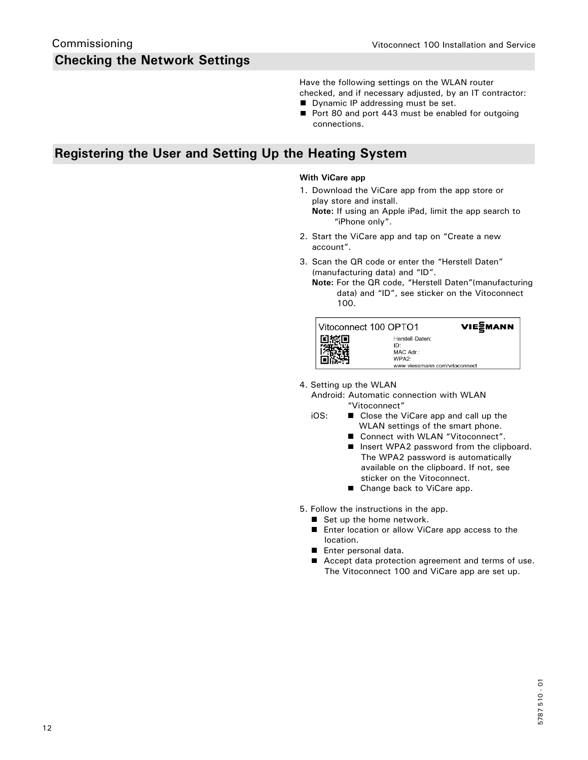Have the following settings on the WLAN router checked, and if necessary adjusted, by an IT contractor:

- **Dynamic IP addressing must be set.**
- Port 80 and port 443 must be enabled for outgoing connections.

# **Registering the User and Setting Up the Heating System**

### **With ViCare app**

- 1. Download the ViCare app from the app store or play store and install.
	- **Note:** If using an Apple iPad, limit the app search to "iPhone only".
- 2. Start the ViCare app and tap on "Create a new account".
- 3. Scan the QR code or enter the "Herstell Daten" (manufacturing data) and "ID".
	- **Note:** For the QR code, "Herstell Daten"(manufacturing data) and "ID", see sticker on the Vitoconnect 100.

| Vitoconnect 100 OPTO1 |                                                                                            | VIEZMANN |
|-----------------------|--------------------------------------------------------------------------------------------|----------|
|                       | Herstell-Daten:<br>יחו<br>MAC Adr.:<br>WPA <sub>2</sub> -<br>www.viessmann.com/vitoconnect |          |

4. Setting up the WLAN

 Android: Automatic connection with WLAN "Vitoconnect"

- iOS: Close the ViCare app and call up the WLAN settings of the smart phone.
	- Connect with WLAN "Vitoconnect".
	- Insert WPA2 password from the clipboard. The WPA2 password is automatically available on the clipboard. If not, see sticker on the Vitoconnect.
	- Change back to ViCare app.

5. Follow the instructions in the app.

- Set up the home network.
- Enter location or allow ViCare app access to the location.
- **Enter personal data.**
- Accept data protection agreement and terms of use. The Vitoconnect 100 and ViCare app are set up.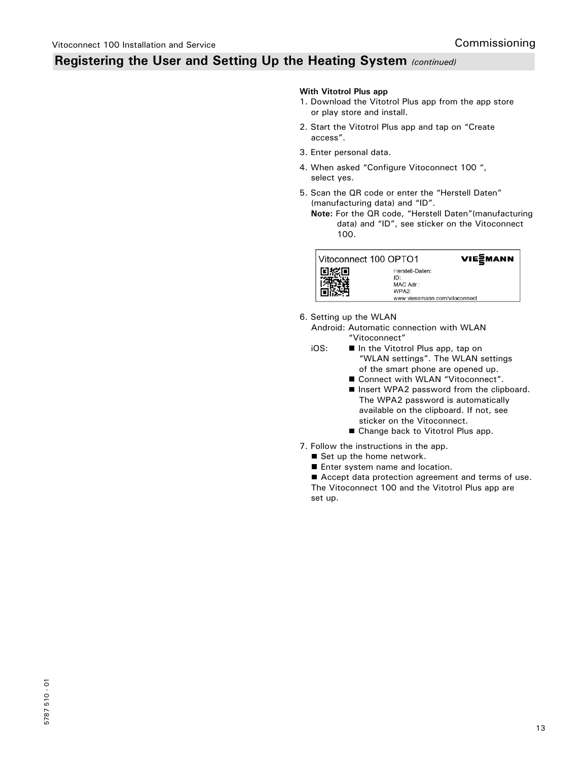# **Registering the User and Setting Up the Heating System** *(continued)*

#### **With Vitotrol Plus app**

- 1. Download the Vitotrol Plus app from the app store or play store and install.
- 2. Start the Vitotrol Plus app and tap on "Create access".
- 3. Enter personal data.
- 4. When asked "Configure Vitoconnect 100 ", select yes.
- 5. Scan the QR code or enter the "Herstell Daten" (manufacturing data) and "ID".
	- **Note:** For the QR code, "Herstell Daten"(manufacturing data) and "ID", see sticker on the Vitoconnect 100.



VIE<sub>2</sub>MANN Herstell-Daten:

6. Setting up the WLAN

 Android: Automatic connection with WLAN "Vitoconnect"<br>OS: ■ In the Vitotr

- In the Vitotrol Plus app, tap on "WLAN settings". The WLAN settings of the smart phone are opened up.
	- Connect with WLAN "Vitoconnect".
	- Insert WPA2 password from the clipboard. The WPA2 password is automatically available on the clipboard. If not, see sticker on the Vitoconnect.
	- Change back to Vitotrol Plus app.
- 7. Follow the instructions in the app.
	- Set up the home network.
	- **Enter system name and location.**

■ Accept data protection agreement and terms of use. The Vitoconnect 100 and the Vitotrol Plus app are

set up.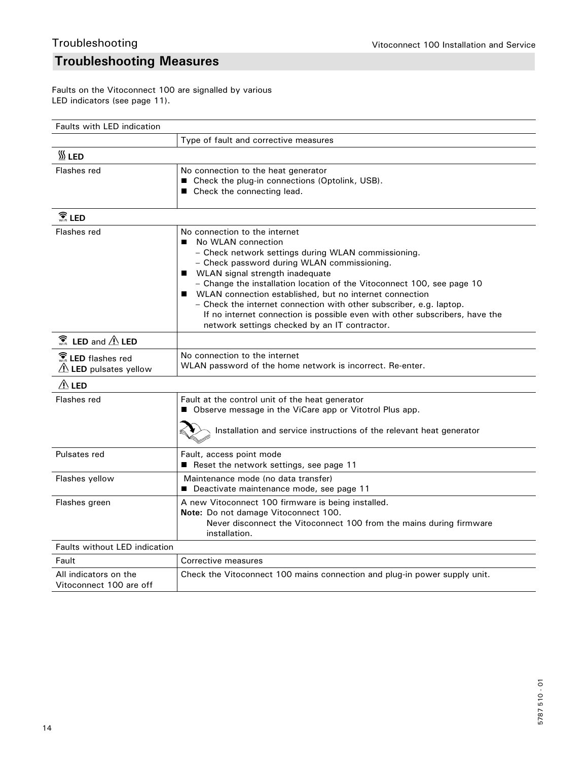# **Troubleshooting Measures**

Faults on the Vitoconnect 100 are signalled by various LED indicators (see page 11).

| <b>Faults with LED indication</b>                |                                                                                                                                                                                                                                                                                                                                                                                                                                                                                                                                                   |  |
|--------------------------------------------------|---------------------------------------------------------------------------------------------------------------------------------------------------------------------------------------------------------------------------------------------------------------------------------------------------------------------------------------------------------------------------------------------------------------------------------------------------------------------------------------------------------------------------------------------------|--|
|                                                  | Type of fault and corrective measures                                                                                                                                                                                                                                                                                                                                                                                                                                                                                                             |  |
| $\frac{30}{20}$ LED                              |                                                                                                                                                                                                                                                                                                                                                                                                                                                                                                                                                   |  |
| Flashes red                                      | No connection to the heat generator<br>■ Check the plug-in connections (Optolink, USB).<br>■ Check the connecting lead.                                                                                                                                                                                                                                                                                                                                                                                                                           |  |
| $\widehat{\widehat{\mathbf{S}}}$ LED             |                                                                                                                                                                                                                                                                                                                                                                                                                                                                                                                                                   |  |
| Flashes red                                      | No connection to the internet<br>No WLAN connection<br>■<br>- Check network settings during WLAN commissioning.<br>- Check password during WLAN commissioning.<br>■ WLAN signal strength inadequate<br>- Change the installation location of the Vitoconnect 100, see page 10<br>■ WLAN connection established, but no internet connection<br>- Check the internet connection with other subscriber, e.g. laptop.<br>If no internet connection is possible even with other subscribers, have the<br>network settings checked by an IT contractor. |  |
| $\widehat{\mathbb{C}}$ LED and $\triangle$ LED   |                                                                                                                                                                                                                                                                                                                                                                                                                                                                                                                                                   |  |
| <b>R</b> LED flashes red<br>LED pulsates yellow  | No connection to the internet<br>WLAN password of the home network is incorrect. Re-enter.                                                                                                                                                                                                                                                                                                                                                                                                                                                        |  |
| $\triangle$ LED                                  |                                                                                                                                                                                                                                                                                                                                                                                                                                                                                                                                                   |  |
| Flashes red                                      | Fault at the control unit of the heat generator<br>■ Observe message in the ViCare app or Vitotrol Plus app.<br>Installation and service instructions of the relevant heat generator                                                                                                                                                                                                                                                                                                                                                              |  |
| Pulsates red                                     | Fault, access point mode<br>■ Reset the network settings, see page 11                                                                                                                                                                                                                                                                                                                                                                                                                                                                             |  |
| Flashes yellow                                   | Maintenance mode (no data transfer)<br>■ Deactivate maintenance mode, see page 11                                                                                                                                                                                                                                                                                                                                                                                                                                                                 |  |
| Flashes green                                    | A new Vitoconnect 100 firmware is being installed.<br>Note: Do not damage Vitoconnect 100.<br>Never disconnect the Vitoconnect 100 from the mains during firmware<br>installation.                                                                                                                                                                                                                                                                                                                                                                |  |
| Faults without LED indication                    |                                                                                                                                                                                                                                                                                                                                                                                                                                                                                                                                                   |  |
| Fault                                            | Corrective measures                                                                                                                                                                                                                                                                                                                                                                                                                                                                                                                               |  |
| All indicators on the<br>Vitoconnect 100 are off | Check the Vitoconnect 100 mains connection and plug-in power supply unit.                                                                                                                                                                                                                                                                                                                                                                                                                                                                         |  |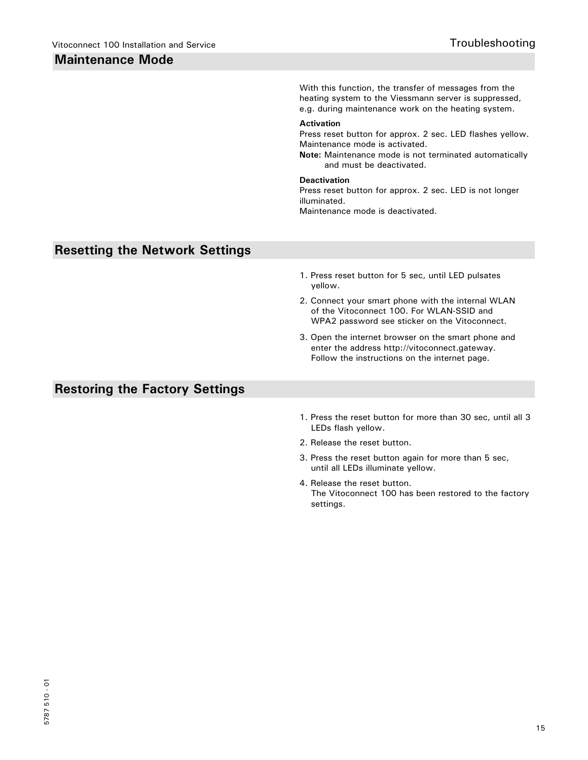# **Maintenance Mode**

**Resetting the Network Settings** With this function, the transfer of messages from the heating system to the Viessmann server is suppressed, e.g. during maintenance work on the heating system. **Activation** Press reset button for approx. 2 sec. LED flashes yellow. Maintenance mode is activated. **Note:** Maintenance mode is not terminated automatically and must be deactivated. **Deactivation** Press reset button for approx. 2 sec. LED is not longer illuminated. Maintenance mode is deactivated. 1. Press reset button for 5 sec, until LED pulsates yellow. 2. Connect your smart phone with the internal WLAN of the Vitoconnect 100. For WLAN-SSID and WPA2 password see sticker on the Vitoconnect. 3. Open the internet browser on the smart phone and enter the address http://vitoconnect.gateway. Follow the instructions on the internet page.

# **Restoring the Factory Settings**

- 1. Press the reset button for more than 30 sec, until all 3 LEDs flash yellow.
- 2. Release the reset button.
- 3. Press the reset button again for more than 5 sec, until all LEDs illuminate yellow.
- 4. Release the reset button. The Vitoconnect 100 has been restored to the factory settings.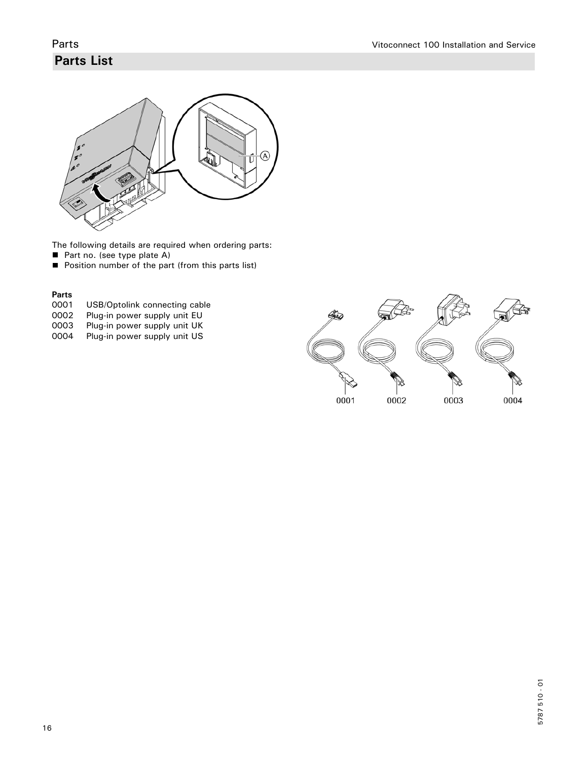# **Parts List**



The following details are required when ordering parts:

- Part no. (see type plate A)
- **Position number of the part (from this parts list)**

## **Parts**

- 0001 USB/Optolink connecting cable<br>0002 Plug-in power supply unit EU
- 0002 Plug-in power supply unit EU<br>0003 Plug-in power supply unit UK
- 0003 Plug-in power supply unit UK<br>0004 Plug-in power supply unit US
- Plug-in power supply unit US

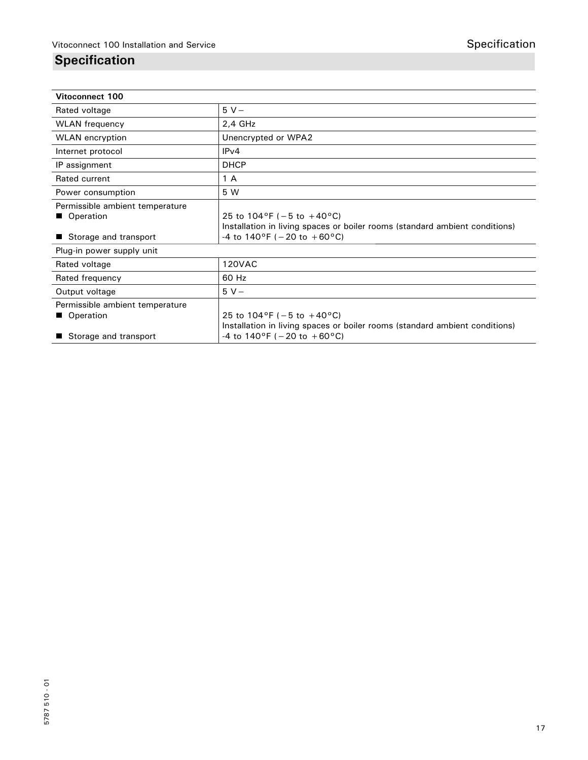# **Specification**

| Vitoconnect 100                                                       |                                                                                                                                                                  |  |
|-----------------------------------------------------------------------|------------------------------------------------------------------------------------------------------------------------------------------------------------------|--|
| Rated voltage                                                         | $5V -$                                                                                                                                                           |  |
| <b>WLAN</b> frequency                                                 | $2,4$ GHz                                                                                                                                                        |  |
| <b>WLAN</b> encryption                                                | Unencrypted or WPA2                                                                                                                                              |  |
| Internet protocol                                                     | IPv4                                                                                                                                                             |  |
| IP assignment                                                         | <b>DHCP</b>                                                                                                                                                      |  |
| Rated current                                                         | 1 A                                                                                                                                                              |  |
| Power consumption                                                     | 5 W                                                                                                                                                              |  |
| Permissible ambient temperature<br>Operation<br>Storage and transport | 25 to $104^{\circ}F$ (-5 to +40 $^{\circ}C$ )<br>Installation in living spaces or boiler rooms (standard ambient conditions)<br>-4 to 140°F ( $-20$ to $+60$ °C) |  |
| Plug-in power supply unit                                             |                                                                                                                                                                  |  |
| Rated voltage                                                         | <b>120VAC</b>                                                                                                                                                    |  |
| Rated frequency                                                       | 60 Hz                                                                                                                                                            |  |
| Output voltage                                                        | $5V -$                                                                                                                                                           |  |
| Permissible ambient temperature<br>Operation                          | 25 to $104^{\circ}F$ (-5 to +40 $^{\circ}C$ )<br>Installation in living spaces or boiler rooms (standard ambient conditions)                                     |  |
| Storage and transport                                                 | -4 to $140^{\circ}F$ (-20 to +60°C)                                                                                                                              |  |